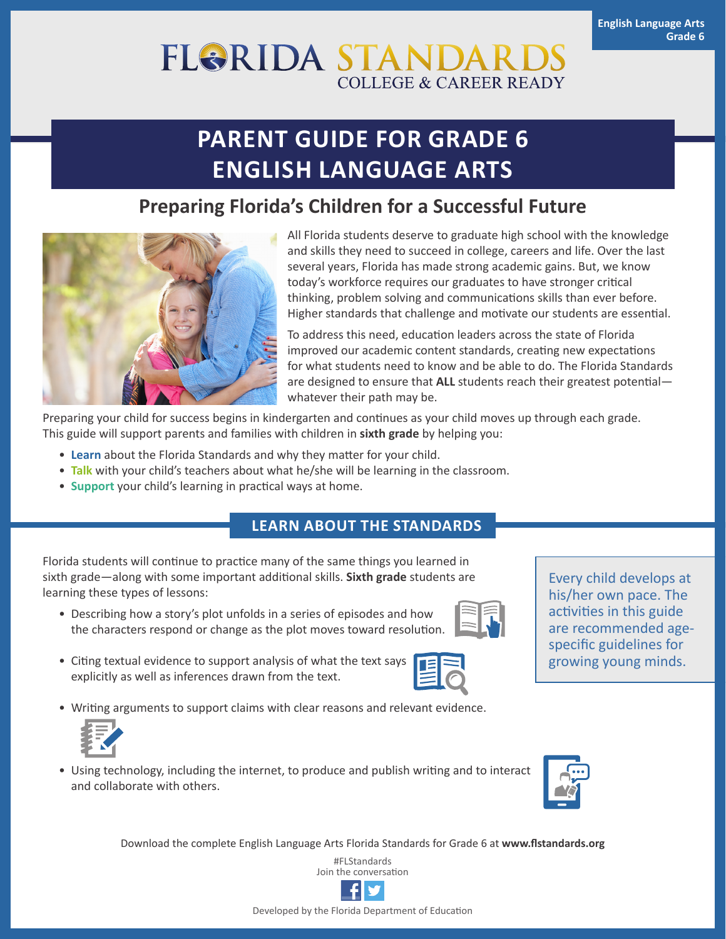# **FL&RIDA STANDAR COLLEGE & CAREER READY**

# **PARENT GUIDE FOR GRADE 6 ENGLISH LANGUAGE ARTS**

## **Preparing Florida's Children for a Successful Future**



All Florida students deserve to graduate high school with the knowledge and skills they need to succeed in college, careers and life. Over the last several years, Florida has made strong academic gains. But, we know today's workforce requires our graduates to have stronger critical thinking, problem solving and communications skills than ever before. Higher standards that challenge and motivate our students are essential.

To address this need, education leaders across the state of Florida improved our academic content standards, creating new expectations for what students need to know and be able to do. The Florida Standards are designed to ensure that **ALL** students reach their greatest potential whatever their path may be.

Preparing your child for success begins in kindergarten and continues as your child moves up through each grade. This guide will support parents and families with children in **sixth grade** by helping you:

- **Learn** about the Florida Standards and why they matter for your child.
- **Talk** with your child's teachers about what he/she will be learning in the classroom.
- **Support** your child's learning in practical ways at home.

### **LEARN ABOUT THE STANDARDS**

Florida students will continue to practice many of the same things you learned in sixth grade—along with some important additional skills. **Sixth grade** students are learning these types of lessons:

• Describing how a story's plot unfolds in a series of episodes and how the characters respond or change as the plot moves toward resolution.



Every child develops at his/her own pace. The activities in this guide are recommended agespecific guidelines for growing young minds.

- Citing textual evidence to support analysis of what the text says explicitly as well as inferences drawn from the text.
- 
- Writing arguments to support claims with clear reasons and relevant evidence.



• Using technology, including the internet, to produce and publish writing and to interact and collaborate with others.



Download the complete English Language Arts Florida Standards for Grade 6 at **[www.flstandards.org](http://www.flstandards.org)**

#FLStandards Join the conversation



Developed by the Florida Department of Education